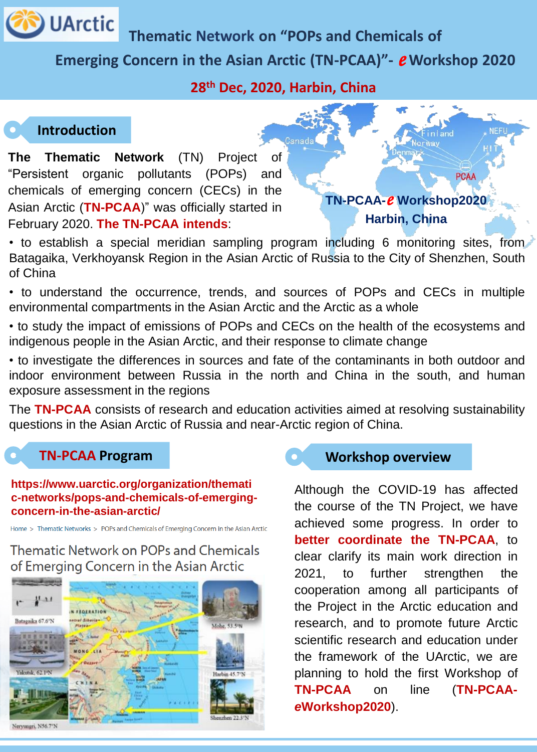

**Thematic Network on "POPs and Chemicals of** 

# **Emerging Concern in the Asian Arctic (TN-PCAA)"-** *e* **Workshop 2020**

## **28th Dec, 2020, Harbin, China**

# **Introduction**

**The Thematic Network** (TN) Project of "Persistent organic pollutants (POPs) and chemicals of emerging concern (CECs) in the Asian Arctic (**TN-PCAA**)" was officially started in February 2020. **The TN-PCAA intends**:



• to establish a special meridian sampling program including 6 monitoring sites, from Batagaika, Verkhoyansk Region in the Asian Arctic of Russia to the City of Shenzhen, South of China

• to understand the occurrence, trends, and sources of POPs and CECs in multiple environmental compartments in the Asian Arctic and the Arctic as a whole

• to study the impact of emissions of POPs and CECs on the health of the ecosystems and indigenous people in the Asian Arctic, and their response to climate change

• to investigate the differences in sources and fate of the contaminants in both outdoor and indoor environment between Russia in the north and China in the south, and human exposure assessment in the regions

The **TN-PCAA** consists of research and education activities aimed at resolving sustainability questions in the Asian Arctic of Russia and near-Arctic region of China.

### **TN-PCAA Program**

#### **https://www.uarctic.org/organization/themati c-networks/pops-and-chemicals-of-emergingconcern-in-the-asian-arctic/**

Home > Thematic Networks > POPs and Chemicals of Emerging Concern in the Asian Arctic

Thematic Network on POPs and Chemicals of Emerging Concern in the Asian Arctic





Although the COVID-19 has affected the course of the TN Project, we have achieved some progress. In order to **better coordinate the TN-PCAA**, to clear clarify its main work direction in 2021, to further strengthen the cooperation among all participants of the Project in the Arctic education and research, and to promote future Arctic scientific research and education under the framework of the UArctic, we are planning to hold the first Workshop of **TN-PCAA** on line (**TN-PCAA***e***Workshop2020**).